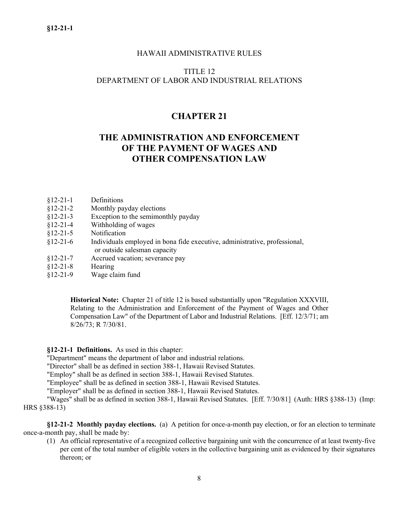#### **HAWAII ADMINISTRATIVE RULES**

### TITLE 12 DEPARTMENT OF LABOR AND INDUSTRIAL RELATIONS

## **CHAPTER 21**

# THE ADMINISTRATION AND ENFORCEMENT OF THE PAYMENT OF WAGES AND **OTHER COMPENSATION LAW**

- $$12-21-2$ Monthly payday elections
- Exception to the semimonthly payday  $$12-21-3$
- $$12-21-4$ Withholding of wages
- $§12 21 5$ Notification
- $$12-21-6$ Individuals employed in bona fide executive, administrative, professional, or outside salesman capacity
- Accrued vacation; severance pay  $§12 - 21 - 7$
- $$12-21-8$ Hearing
- $$12-21-9$ Wage claim fund

**Historical Note:** Chapter 21 of title 12 is based substantially upon "Regulation XXXVIII, Relating to the Administration and Enforcement of the Payment of Wages and Other Compensation Law" of the Department of Labor and Industrial Relations. [Eff. 12/3/71; am 8/26/73; R 7/30/81.

#### §12-21-1 Definitions. As used in this chapter:

"Department" means the department of labor and industrial relations.

"Director" shall be as defined in section 388-1, Hawaii Revised Statutes.

"Employ" shall be as defined in section 388-1, Hawaii Revised Statutes.

"Employee" shall be as defined in section 388-1, Hawaii Revised Statutes.

"Employer" shall be as defined in section 388-1, Hawaii Revised Statutes.

"Wages" shall be as defined in section 388-1, Hawaii Revised Statutes. [Eff. 7/30/81] (Auth: HRS §388-13) (Imp: HRS §388-13)

812-21-2 Monthly payday elections. (a) A petition for once-a-month pay election, or for an election to terminate once-a-month pay, shall be made by:

(1) An official representative of a recognized collective bargaining unit with the concurrence of at least twenty-five per cent of the total number of eligible voters in the collective bargaining unit as evidenced by their signatures thereon: or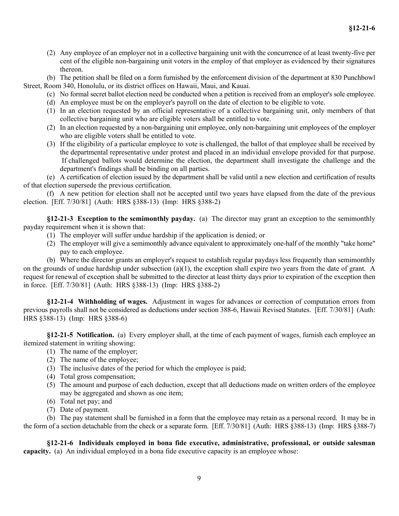(2) Any employee of an employer not in a collective bargaining unit with the concurrence of at least twenty-five per cent of the eligible non-bargaining unit voters in the employ of that employer as evidenced by their signatures thereon.

(b) The petition shall be filed on a form furnished by the enforcement division of the department at 830 Punchbowl Street, Room 340, Honolulu, or its district offices on Hawaii, Maui, and Kauai.

- (c) No formal secret ballot election need be conducted when a petition is received from an employer's sole employee.
- (d) An employee must be on the employer's payroll on the date of election to be eligible to vote.
- (1) In an election requested by an official representative of a collective bargaining unit, only members of that collective bargaining unit who are eligible voters shall be entitled to vote.
- (2) In an election requested by a non-bargaining unit employee, only non-bargaining unit employees of the employer who are eligible voters shall be entitled to vote.
- (3) If the eligibility of a particular employee to vote is challenged, the ballot of that employee shall be received by the departmental representative under protest and placed in an individual envelope provided for that purpose. If challenged ballots would determine the election, the department shall investigate the challenge and the department's findings shall be binding on all parties.

(e) A certification of election issued by the department shall be valid until a new election and certification of results of that election supersede the previous certification.

(f) A new petition for election shall not be accepted until two years have elapsed from the date of the previous election. [Eff. 7/30/81] (Auth: HRS §388-13) (Imp: HRS §388-2)

§12-21-3 Exception to the semimonthly payday. (a) The director may grant an exception to the semimonthly payday requirement when it is shown that:

- (1) The employer will suffer undue hardship if the application is denied; or
- (2) The employer will give a semimonthly advance equivalent to approximately one-half of the monthly "take home" pay to each employee.

(b) Where the director grants an employer's request to establish regular paydays less frequently than semimonthly on the grounds of undue hardship under subsection (a)(1), the exception shall expire two years from the date of grant. A request for renewal of exception shall be submitted to the director at least thirty days prior to expiration of the exception then in force. [Eff. 7/30/81] (Auth: HRS §388-13) (Imp: HRS §388-2)

§12-21-4 Withholding of wages. Adjustment in wages for advances or correction of computation errors from previous payrolls shall not be considered as deductions under section 388-6, Hawaii Revised Statutes. [Eff. 7/30/81] (Auth: HRS §388-13) (Imp: HRS §388-6)

812-21-5 Notification. (a) Every employer shall, at the time of each payment of wages, furnish each employee an itemized statement in writing showing:

- $(1)$  The name of the employer;
- (2) The name of the employee;
- (3) The inclusive dates of the period for which the employee is paid;
- (4) Total gross compensation;
- (5) The amount and purpose of each deduction, except that all deductions made on written orders of the employee may be aggregated and shown as one item;
- $(6)$  Total net pay; and
- (7) Date of payment.

(b) The pay statement shall be furnished in a form that the employee may retain as a personal record. It may be in the form of a section detachable from the check or a separate form. [Eff. 7/30/81] (Auth: HRS §388-13) (Imp: HRS §388-7)

§12-21-6 Individuals employed in bona fide executive, administrative, professional, or outside salesman capacity. (a) An individual employed in a bona fide executive capacity is an employee whose: